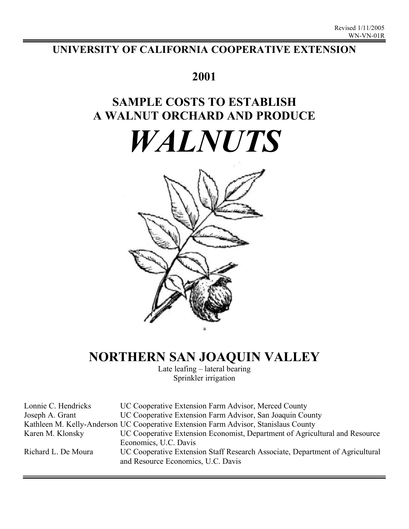# **UNIVERSITY OF CALIFORNIA COOPERATIVE EXTENSION**

# **2001**

# **SAMPLE COSTS TO ESTABLISH A WALNUT ORCHARD AND PRODUCE**

# *WALNUTS*



# **NORTHERN SAN JOAQUIN VALLEY**

Late leafing – lateral bearing Sprinkler irrigation

| Lonnie C. Hendricks | UC Cooperative Extension Farm Advisor, Merced County                                |
|---------------------|-------------------------------------------------------------------------------------|
| Joseph A. Grant     | UC Cooperative Extension Farm Advisor, San Joaquin County                           |
|                     | Kathleen M. Kelly-Anderson UC Cooperative Extension Farm Advisor, Stanislaus County |
| Karen M. Klonsky    | UC Cooperative Extension Economist, Department of Agricultural and Resource         |
|                     | Economics, U.C. Davis                                                               |
| Richard L. De Moura | UC Cooperative Extension Staff Research Associate, Department of Agricultural       |
|                     | and Resource Economics, U.C. Davis                                                  |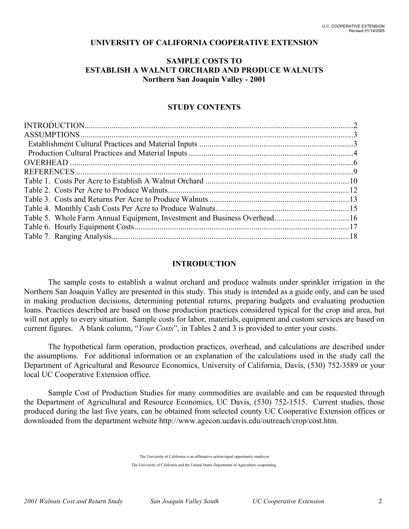## **UNIVERSITY OF CALIFORNIA COOPERATIVE EXTENSION**

## **SAMPLE COSTS TO ESTABLISH A WALNUT ORCHARD AND PRODUCE WALNUTS Northern San Joaquin Valley - 2001**

### **STUDY CONTENTS**

#### **INTRODUCTION**

The sample costs to establish a walnut orchard and produce walnuts under sprinkler irrigation in the Northern San Joaquin Valley are presented in this study. This study is intended as a guide only, and can be used in making production decisions, determining potential returns, preparing budgets and evaluating production loans. Practices described are based on those production practices considered typical for the crop and area, but will not apply to every situation. Sample costs for labor, materials, equipment and custom services are based on current figures. A blank column, "*Your Costs*", in Tables 2 and 3 is provided to enter your costs.

The hypothetical farm operation, production practices, overhead, and calculations are described under the assumptions. For additional information or an explanation of the calculations used in the study call the Department of Agricultural and Resource Economics, University of California, Davis, (530) 752-3589 or your local UC Cooperative Extension office.

Sample Cost of Production Studies for many commodities are available and can be requested through the Department of Agricultural and Resource Economics, UC Davis, (530) 752-1515. Current studies, those produced during the last five years, can be obtained from selected county UC Cooperative Extension offices or downloaded from the department website http://www.agecon.ucdavis.edu/outreach/crop/cost.htm.

> The University of California is an affirmative action/equal opportunity employer The University of California and the United States Department of Agriculture cooperating.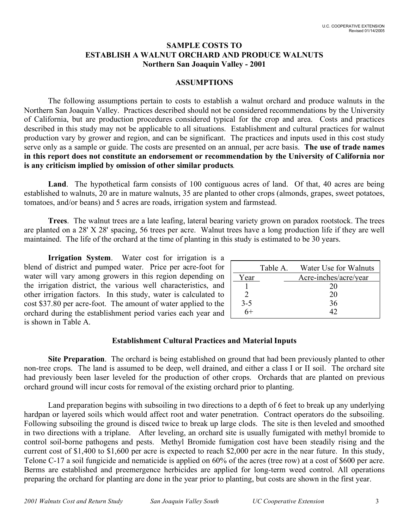# **SAMPLE COSTS TO ESTABLISH A WALNUT ORCHARD AND PRODUCE WALNUTS Northern San Joaquin Valley - 2001**

## **ASSUMPTIONS**

The following assumptions pertain to costs to establish a walnut orchard and produce walnuts in the Northern San Joaquin Valley. Practices described should not be considered recommendations by the University of California, but are production procedures considered typical for the crop and area. Costs and practices described in this study may not be applicable to all situations. Establishment and cultural practices for walnut production vary by grower and region, and can be significant. The practices and inputs used in this cost study serve only as a sample or guide. The costs are presented on an annual, per acre basis. **The use of trade names in this report does not constitute an endorsement or recommendation by the University of California nor is any criticism implied by omission of other similar products***.*

Land. The hypothetical farm consists of 100 contiguous acres of land. Of that, 40 acres are being established to walnuts, 20 are in mature walnuts, 35 are planted to other crops (almonds, grapes, sweet potatoes, tomatoes, and/or beans) and 5 acres are roads, irrigation system and farmstead.

**Trees**. The walnut trees are a late leafing, lateral bearing variety grown on paradox rootstock. The trees are planted on a 28' X 28' spacing, 56 trees per acre. Walnut trees have a long production life if they are well maintained. The life of the orchard at the time of planting in this study is estimated to be 30 years.

**Irrigation System**. Water cost for irrigation is a blend of district and pumped water. Price per acre-foot for water will vary among growers in this region depending on the irrigation district, the various well characteristics, and other irrigation factors. In this study, water is calculated to cost \$37.80 per acre-foot. The amount of water applied to the orchard during the establishment period varies each year and is shown in Table A.

|         | Table A. | Water Use for Walnuts |
|---------|----------|-----------------------|
| Year    |          | Acre-inches/acre/year |
|         |          | 20                    |
|         |          | 20                    |
| $3 - 5$ |          | 36                    |
|         |          | 42                    |

# **Establishment Cultural Practices and Material Inputs**

**Site Preparation**. The orchard is being established on ground that had been previously planted to other non-tree crops. The land is assumed to be deep, well drained, and either a class I or II soil. The orchard site had previously been laser leveled for the production of other crops. Orchards that are planted on previous orchard ground will incur costs for removal of the existing orchard prior to planting.

Land preparation begins with subsoiling in two directions to a depth of 6 feet to break up any underlying hardpan or layered soils which would affect root and water penetration. Contract operators do the subsoiling. Following subsoiling the ground is disced twice to break up large clods. The site is then leveled and smoothed in two directions with a triplane. After leveling, an orchard site is usually fumigated with methyl bromide to control soil-borne pathogens and pests. Methyl Bromide fumigation cost have been steadily rising and the current cost of \$1,400 to \$1,600 per acre is expected to reach \$2,000 per acre in the near future. In this study, Telone C-17 a soil fungicide and nematicide is applied on 60% of the acres (tree row) at a cost of \$600 per acre. Berms are established and preemergence herbicides are applied for long-term weed control. All operations preparing the orchard for planting are done in the year prior to planting, but costs are shown in the first year.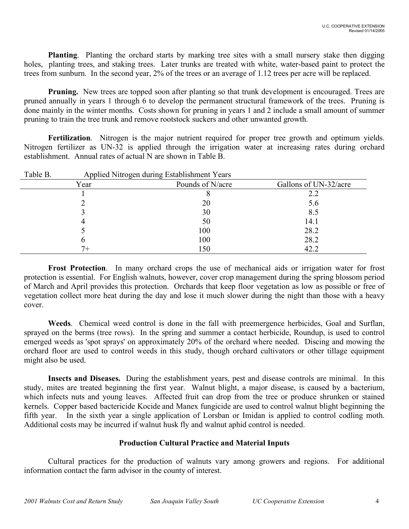**Planting**. Planting the orchard starts by marking tree sites with a small nursery stake then digging holes, planting trees, and staking trees. Later trunks are treated with white, water-based paint to protect the trees from sunburn. In the second year, 2% of the trees or an average of 1.12 trees per acre will be replaced.

**Pruning.** New trees are topped soon after planting so that trunk development is encouraged. Trees are pruned annually in years 1 through 6 to develop the permanent structural framework of the trees. Pruning is done mainly in the winter months. Costs shown for pruning in years 1 and 2 include a small amount of summer pruning to train the tree trunk and remove rootstock suckers and other unwanted growth.

**Fertilization**. Nitrogen is the major nutrient required for proper tree growth and optimum yields. Nitrogen fertilizer as UN-32 is applied through the irrigation water at increasing rates during orchard establishment. Annual rates of actual N are shown in Table B.

| Table B. |      | Applied Nitrogen during Establishment Years |                       |
|----------|------|---------------------------------------------|-----------------------|
|          | Year | Pounds of N/acre                            | Gallons of UN-32/acre |
|          |      |                                             | 2.2                   |
|          |      | 20                                          | 5.6                   |
|          |      | 30                                          | 8.5                   |
|          |      | 50                                          | 14.1                  |
|          |      | 100                                         | 28.2                  |
|          |      | 100                                         | 28.2                  |
|          |      | 150                                         | 42.2                  |

**Frost Protection**. In many orchard crops the use of mechanical aids or irrigation water for frost protection is essential. For English walnuts, however, cover crop management during the spring blossom period of March and April provides this protection. Orchards that keep floor vegetation as low as possible or free of vegetation collect more heat during the day and lose it much slower during the night than those with a heavy cover.

**Weeds**. Chemical weed control is done in the fall with preemergence herbicides, Goal and Surflan, sprayed on the berms (tree rows). In the spring and summer a contact herbicide, Roundup, is used to control emerged weeds as 'spot sprays' on approximately 20% of the orchard where needed. Discing and mowing the orchard floor are used to control weeds in this study, though orchard cultivators or other tillage equipment might also be used.

**Insects and Diseases.** During the establishment years, pest and disease controls are minimal. In this study, mites are treated beginning the first year. Walnut blight, a major disease, is caused by a bacterium, which infects nuts and young leaves. Affected fruit can drop from the tree or produce shrunken or stained kernels. Copper based bactericide Kocide and Manex fungicide are used to control walnut blight beginning the fifth year. In the sixth year a single application of Lorsban or Imidan is applied to control codling moth. Additional costs may be incurred if walnut husk fly and walnut aphid control is needed.

# **Production Cultural Practice and Material Inputs**

Cultural practices for the production of walnuts vary among growers and regions. For additional information contact the farm advisor in the county of interest.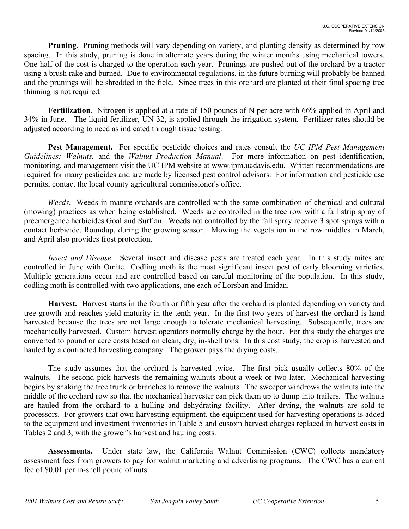**Pruning**. Pruning methods will vary depending on variety, and planting density as determined by row spacing. In this study, pruning is done in alternate years during the winter months using mechanical towers. One-half of the cost is charged to the operation each year. Prunings are pushed out of the orchard by a tractor using a brush rake and burned. Due to environmental regulations, in the future burning will probably be banned and the prunings will be shredded in the field. Since trees in this orchard are planted at their final spacing tree thinning is not required.

**Fertilization**. Nitrogen is applied at a rate of 150 pounds of N per acre with 66% applied in April and 34% in June. The liquid fertilizer, UN-32, is applied through the irrigation system. Fertilizer rates should be adjusted according to need as indicated through tissue testing.

**Pest Management.** For specific pesticide choices and rates consult the *UC IPM Pest Management Guidelines: Walnuts,* and the *Walnut Production Manual*. For more information on pest identification, monitoring, and management visit the UC IPM website at www.ipm.ucdavis.edu. Written recommendations are required for many pesticides and are made by licensed pest control advisors. For information and pesticide use permits, contact the local county agricultural commissioner's office.

*Weeds*. Weeds in mature orchards are controlled with the same combination of chemical and cultural (mowing) practices as when being established. Weeds are controlled in the tree row with a fall strip spray of preemergence herbicides Goal and Surflan. Weeds not controlled by the fall spray receive 3 spot sprays with a contact herbicide, Roundup, during the growing season. Mowing the vegetation in the row middles in March, and April also provides frost protection.

*Insect and Disease*. Several insect and disease pests are treated each year. In this study mites are controlled in June with Omite. Codling moth is the most significant insect pest of early blooming varieties. Multiple generations occur and are controlled based on careful monitoring of the population. In this study, codling moth is controlled with two applications, one each of Lorsban and Imidan.

**Harvest.** Harvest starts in the fourth or fifth year after the orchard is planted depending on variety and tree growth and reaches yield maturity in the tenth year. In the first two years of harvest the orchard is hand harvested because the trees are not large enough to tolerate mechanical harvesting. Subsequently, trees are mechanically harvested. Custom harvest operators normally charge by the hour. For this study the charges are converted to pound or acre costs based on clean, dry, in-shell tons. In this cost study, the crop is harvested and hauled by a contracted harvesting company. The grower pays the drying costs.

The study assumes that the orchard is harvested twice. The first pick usually collects 80% of the walnuts. The second pick harvests the remaining walnuts about a week or two later. Mechanical harvesting begins by shaking the tree trunk or branches to remove the walnuts. The sweeper windrows the walnuts into the middle of the orchard row so that the mechanical harvester can pick them up to dump into trailers. The walnuts are hauled from the orchard to a hulling and dehydrating facility. After drying, the walnuts are sold to processors. For growers that own harvesting equipment, the equipment used for harvesting operations is added to the equipment and investment inventories in Table 5 and custom harvest charges replaced in harvest costs in Tables 2 and 3, with the grower's harvest and hauling costs.

**Assessments.** Under state law, the California Walnut Commission (CWC) collects mandatory assessment fees from growers to pay for walnut marketing and advertising programs. The CWC has a current fee of \$0.01 per in-shell pound of nuts.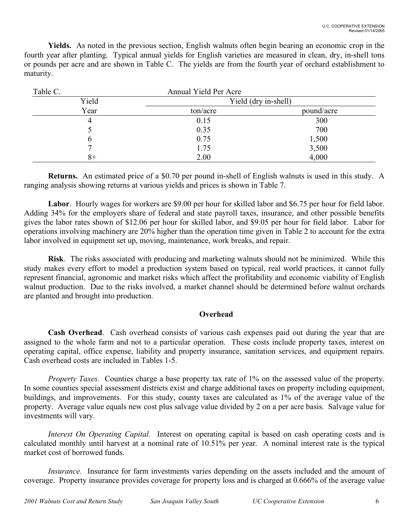**Yields.** As noted in the previous section, English walnuts often begin bearing an economic crop in the fourth year after planting. Typical annual yields for English varieties are measured in clean, dry, in-shell tons or pounds per acre and are shown in Table C. The yields are from the fourth year of orchard establishment to maturity.

| Table C. | Annual Yield Per Acre |                      |
|----------|-----------------------|----------------------|
| Yield    |                       | Yield (dry in-shell) |
| Year     | ton/acre              | pound/acre           |
| 4        | 0.15                  | 300                  |
|          | 0.35                  | 700                  |
| b        | 0.75                  | 1,500                |
|          | 1.75                  | 3,500                |
| 8+       | 2.00                  | 4,000                |

**Returns.** An estimated price of a \$0.70 per pound in-shell of English walnuts is used in this study. A ranging analysis showing returns at various yields and prices is shown in Table 7.

Labor. Hourly wages for workers are \$9.00 per hour for skilled labor and \$6.75 per hour for field labor. Adding 34% for the employers share of federal and state payroll taxes, insurance, and other possible benefits gives the labor rates shown of \$12.06 per hour for skilled labor, and \$9.05 per hour for field labor. Labor for operations involving machinery are 20% higher than the operation time given in Table 2 to account for the extra labor involved in equipment set up, moving, maintenance, work breaks, and repair.

**Risk**. The risks associated with producing and marketing walnuts should not be minimized. While this study makes every effort to model a production system based on typical, real world practices, it cannot fully represent financial, agronomic and market risks which affect the profitability and economic viability of English walnut production. Due to the risks involved, a market channel should be determined before walnut orchards are planted and brought into production.

# **Overhead**

**Cash Overhead**. Cash overhead consists of various cash expenses paid out during the year that are assigned to the whole farm and not to a particular operation. These costs include property taxes, interest on operating capital, office expense, liability and property insurance, sanitation services, and equipment repairs. Cash overhead costs are included in Tables 1-5.

*Property Taxes.* Counties charge a base property tax rate of 1% on the assessed value of the property. In some counties special assessment districts exist and charge additional taxes on property including equipment, buildings, and improvements. For this study, county taxes are calculated as 1% of the average value of the property. Average value equals new cost plus salvage value divided by 2 on a per acre basis. Salvage value for investments will vary.

*Interest On Operating Capital.* Interest on operating capital is based on cash operating costs and is calculated monthly until harvest at a nominal rate of 10.51% per year. A nominal interest rate is the typical market cost of borrowed funds.

*Insurance.* Insurance for farm investments varies depending on the assets included and the amount of coverage. Property insurance provides coverage for property loss and is charged at 0.666% of the average value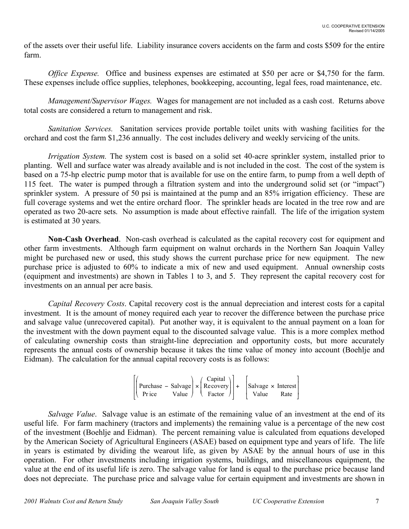of the assets over their useful life. Liability insurance covers accidents on the farm and costs \$509 for the entire farm.

*Office Expense.* Office and business expenses are estimated at \$50 per acre or \$4,750 for the farm. These expenses include office supplies, telephones, bookkeeping, accounting, legal fees, road maintenance, etc.

*Management/Supervisor Wages.* Wages for management are not included as a cash cost. Returns above total costs are considered a return to management and risk.

*Sanitation Services.* Sanitation services provide portable toilet units with washing facilities for the orchard and cost the farm \$1,236 annually. The cost includes delivery and weekly servicing of the units.

*Irrigation System.* The system cost is based on a solid set 40-acre sprinkler system, installed prior to planting. Well and surface water was already available and is not included in the cost. The cost of the system is based on a 75-hp electric pump motor that is available for use on the entire farm, to pump from a well depth of 115 feet. The water is pumped through a filtration system and into the underground solid set (or "impact") sprinkler system. A pressure of 50 psi is maintained at the pump and an 85% irrigation efficiency. These are full coverage systems and wet the entire orchard floor. The sprinkler heads are located in the tree row and are operated as two 20-acre sets. No assumption is made about effective rainfall. The life of the irrigation system is estimated at 30 years.

**Non-Cash Overhead**. Non-cash overhead is calculated as the capital recovery cost for equipment and other farm investments. Although farm equipment on walnut orchards in the Northern San Joaquin Valley might be purchased new or used, this study shows the current purchase price for new equipment. The new purchase price is adjusted to 60% to indicate a mix of new and used equipment. Annual ownership costs (equipment and investments) are shown in Tables 1 to 3, and 5. They represent the capital recovery cost for investments on an annual per acre basis.

*Capital Recovery Costs*. Capital recovery cost is the annual depreciation and interest costs for a capital investment. It is the amount of money required each year to recover the difference between the purchase price and salvage value (unrecovered capital). Put another way, it is equivalent to the annual payment on a loan for the investment with the down payment equal to the discounted salvage value. This is a more complex method of calculating ownership costs than straight-line depreciation and opportunity costs, but more accurately represents the annual costs of ownership because it takes the time value of money into account (Boehlje and Eidman). The calculation for the annual capital recovery costs is as follows:

|                                                                                                  |  | $\int$ Capital $\setminus$ |  |       |      |
|--------------------------------------------------------------------------------------------------|--|----------------------------|--|-------|------|
| $\left \right $ Purchase – Salvage $\times$ Recovery $\left \right $ + Salvage $\times$ Interest |  |                            |  |       |      |
| Pr ice                                                                                           |  |                            |  | Value | Rate |

*Salvage Value*. Salvage value is an estimate of the remaining value of an investment at the end of its useful life. For farm machinery (tractors and implements) the remaining value is a percentage of the new cost of the investment (Boehlje and Eidman). The percent remaining value is calculated from equations developed by the American Society of Agricultural Engineers (ASAE) based on equipment type and years of life. The life in years is estimated by dividing the wearout life, as given by ASAE by the annual hours of use in this operation. For other investments including irrigation systems, buildings, and miscellaneous equipment, the value at the end of its useful life is zero. The salvage value for land is equal to the purchase price because land does not depreciate. The purchase price and salvage value for certain equipment and investments are shown in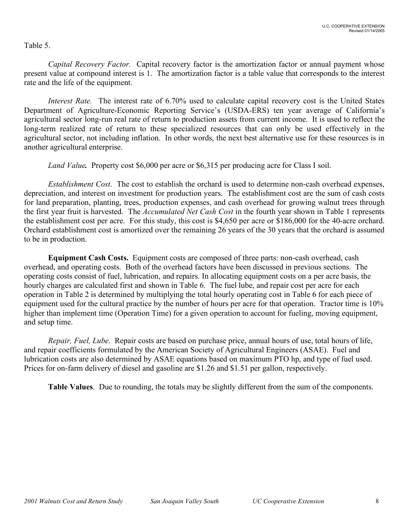# Table 5.

*Capital Recovery Factor.* Capital recovery factor is the amortization factor or annual payment whose present value at compound interest is 1. The amortization factor is a table value that corresponds to the interest rate and the life of the equipment.

*Interest Rate.* The interest rate of 6.70% used to calculate capital recovery cost is the United States Department of Agriculture-Economic Reporting Service's (USDA-ERS) ten year average of California's agricultural sector long-run real rate of return to production assets from current income. It is used to reflect the long-term realized rate of return to these specialized resources that can only be used effectively in the agricultural sector, not including inflation. In other words, the next best alternative use for these resources is in another agricultural enterprise.

*Land Value.* Property cost \$6,000 per acre or \$6,315 per producing acre for Class I soil.

*Establishment Cost*. The cost to establish the orchard is used to determine non-cash overhead expenses, depreciation, and interest on investment for production years. The establishment cost are the sum of cash costs for land preparation, planting, trees, production expenses, and cash overhead for growing walnut trees through the first year fruit is harvested. The *Accumulated Net Cash Cost* in the fourth year shown in Table 1 represents the establishment cost per acre. For this study, this cost is \$4,650 per acre or \$186,000 for the 40-acre orchard. Orchard establishment cost is amortized over the remaining 26 years of the 30 years that the orchard is assumed to be in production.

**Equipment Cash Costs.** Equipment costs are composed of three parts: non-cash overhead, cash overhead, and operating costs. Both of the overhead factors have been discussed in previous sections. The operating costs consist of fuel, lubrication, and repairs. In allocating equipment costs on a per acre basis, the hourly charges are calculated first and shown in Table 6. The fuel lube, and repair cost per acre for each operation in Table 2 is determined by multiplying the total hourly operating cost in Table 6 for each piece of equipment used for the cultural practice by the number of hours per acre for that operation. Tractor time is 10% higher than implement time (Operation Time) for a given operation to account for fueling, moving equipment, and setup time.

*Repair, Fuel, Lube.* Repair costs are based on purchase price, annual hours of use, total hours of life, and repair coefficients formulated by the American Society of Agricultural Engineers (ASAE). Fuel and lubrication costs are also determined by ASAE equations based on maximum PTO hp, and type of fuel used. Prices for on-farm delivery of diesel and gasoline are \$1.26 and \$1.51 per gallon, respectively.

**Table Values**. Due to rounding, the totals may be slightly different from the sum of the components.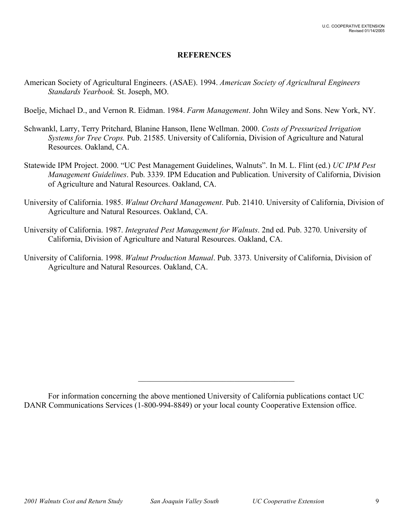# **REFERENCES**

American Society of Agricultural Engineers. (ASAE). 1994. *American Society of Agricultural Engineers Standards Yearbook.* St. Joseph, MO.

Boelje, Michael D., and Vernon R. Eidman. 1984. *Farm Management*. John Wiley and Sons. New York, NY.

- Schwankl, Larry, Terry Pritchard, Blanine Hanson, Ilene Wellman. 2000. *Costs of Pressurized Irrigation Systems for Tree Crops.* Pub. 21585. University of California, Division of Agriculture and Natural Resources. Oakland, CA.
- Statewide IPM Project. 2000. "UC Pest Management Guidelines, Walnuts". In M. L. Flint (ed.) *UC IPM Pest Management Guidelines*. Pub. 3339. IPM Education and Publication. University of California, Division of Agriculture and Natural Resources. Oakland, CA.
- University of California. 1985. *Walnut Orchard Management*. Pub. 21410. University of California, Division of Agriculture and Natural Resources. Oakland, CA.
- University of California. 1987. *Integrated Pest Management for Walnuts*. 2nd ed. Pub. 3270. University of California, Division of Agriculture and Natural Resources. Oakland, CA.
- University of California. 1998. *Walnut Production Manual*. Pub. 3373. University of California, Division of Agriculture and Natural Resources. Oakland, CA.

 $\mathcal{L}_\text{max}$ 

For information concerning the above mentioned University of California publications contact UC DANR Communications Services (1-800-994-8849) or your local county Cooperative Extension office.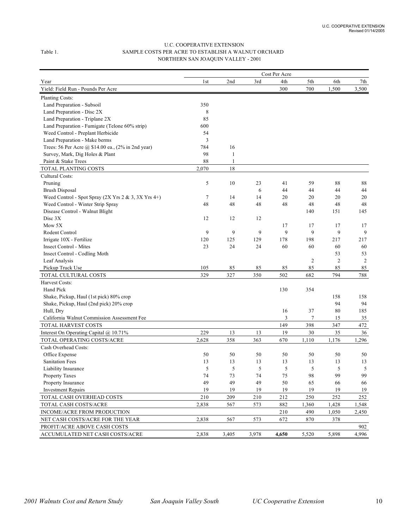#### U.C. COOPERATIVE EXTENSION Table 1. SAMPLE COSTS PER ACRE TO ESTABLISH A WALNUT ORCHARD NORTHERN SAN JOAQUIN VALLEY - 2001

|                                                       |       |       |       | Cost Per Acre |       |       |       |
|-------------------------------------------------------|-------|-------|-------|---------------|-------|-------|-------|
| Year                                                  | 1st   | 2nd   | 3rd   | 4th           | 5th   | 6th   | 7th   |
| Yield: Field Run - Pounds Per Acre                    |       |       |       | 300           | 700   | 1,500 | 3,500 |
| Planting Costs:                                       |       |       |       |               |       |       |       |
| Land Preparation - Subsoil                            | 350   |       |       |               |       |       |       |
| Land Preparation - Disc 2X                            | 8     |       |       |               |       |       |       |
| Land Preparation - Triplane 2X                        | 85    |       |       |               |       |       |       |
| Land Preparation - Fumigate (Telone 60% strip)        | 600   |       |       |               |       |       |       |
| Weed Control - Preplant Herbicide                     | 54    |       |       |               |       |       |       |
| Land Preparation - Make berms                         | 3     |       |       |               |       |       |       |
| Trees: 56 Per Acre @ \$14.00 ea., (2% in 2nd year)    | 784   | 16    |       |               |       |       |       |
| Survey, Mark, Dig Holes & Plant                       | 98    | 1     |       |               |       |       |       |
| Paint & Stake Trees                                   | 88    | 1     |       |               |       |       |       |
| TOTAL PLANTING COSTS                                  | 2,070 | 18    |       |               |       |       |       |
| Cultural Costs:                                       |       |       |       |               |       |       |       |
| Pruning                                               | 5     | 10    | 23    | 41            | 59    | 88    | 88    |
| <b>Brush Disposal</b>                                 |       |       | 6     | 44            | 44    | 44    | 44    |
| Weed Control - Spot Spray $(2X Yrs 2 & 3, 3X Yrs 4+)$ | 7     | 14    | 14    | 20            | 20    | 20    | 20    |
| Weed Control - Winter Strip Spray                     | 48    | 48    | 48    | 48            | 48    | 48    | 48    |
| Disease Control - Walnut Blight                       |       |       |       |               | 140   | 151   | 145   |
| Disc $3X$                                             | 12    | 12    | 12    |               |       |       |       |
| Mow 5X                                                |       |       |       | 17            | 17    | 17    | 17    |
| Rodent Control                                        | 9     | 9     | 9     | 9             | 9     | 9     | 9     |
| Irrigate 10X - Fertilize                              | 120   | 125   | 129   | 178           | 198   | 217   | 217   |
| <b>Insect Control - Mites</b>                         | 23    | 24    | 24    | 60            | 60    | 60    | 60    |
| Insect Control - Codling Moth                         |       |       |       |               |       | 53    | 53    |
| Leaf Analysis                                         |       |       |       |               | 2     | 2     | 2     |
| Pickup Truck Use                                      | 105   | 85    | 85    | 85            | 85    | 85    | 85    |
| TOTAL CULTURAL COSTS                                  | 329   | 327   | 350   | 502           | 682   | 794   | 788   |
| Harvest Costs:                                        |       |       |       |               |       |       |       |
| Hand Pick                                             |       |       |       | 130           | 354   |       |       |
| Shake, Pickup, Haul (1st pick) 80% crop               |       |       |       |               |       | 158   | 158   |
| Shake, Pickup, Haul (2nd pick) 20% crop               |       |       |       |               |       | 94    | 94    |
| Hull, Dry                                             |       |       |       | 16            | 37    | 80    | 185   |
| California Walnut Commission Assessment Fee           |       |       |       | 3             | 7     | 15    | 35    |
| TOTAL HARVEST COSTS                                   |       |       |       | 149           | 398   | 347   | 472   |
| Interest On Operating Capital @ 10.71%                | 229   | 13    | 13    | 19            | 30    | 35    | 36    |
| TOTAL OPERATING COSTS/ACRE                            | 2,628 | 358   | 363   | 670           | 1,110 | 1,176 | 1,296 |
| Cash Overhead Costs:                                  |       |       |       |               |       |       |       |
| Office Expense                                        | 50    | 50    | 50    | 50            | 50    | 50    | 50    |
| <b>Sanitation Fees</b>                                | 13    | 13    | 13    | 13            | 13    | 13    | 13    |
| Liability Insurance                                   | 5     | 5     | 5     | 5             | 5     | 5     | 5     |
| Property Taxes                                        | 74    | 73    | 74    | 75            | 98    | 99    | 99    |
| Property Insurance                                    | 49    | 49    | 49    | 50            | 65    | 66    | 66    |
| <b>Investment Repairs</b>                             | 19    | 19    | 19    | 19            | 19    | 19    | 19    |
| TOTAL CASH OVERHEAD COSTS                             | 210   | 209   | 210   | 212           | 250   | 252   | 252   |
| TOTAL CASH COSTS/ACRE                                 | 2,838 | 567   | 573   | 882           | 1,360 | 1,428 | 1,548 |
| INCOME/ACRE FROM PRODUCTION                           |       |       |       | 210           | 490   | 1,050 | 2,450 |
| NET CASH COSTS/ACRE FOR THE YEAR                      | 2,838 | 567   | 573   | 672           | 870   | 378   |       |
| PROFIT/ACRE ABOVE CASH COSTS                          |       |       |       |               |       |       | 902   |
| ACCUMULATED NET CASH COSTS/ACRE                       | 2,838 | 3,405 | 3,978 | 4,650         | 5,520 | 5,898 | 4,996 |
|                                                       |       |       |       |               |       |       |       |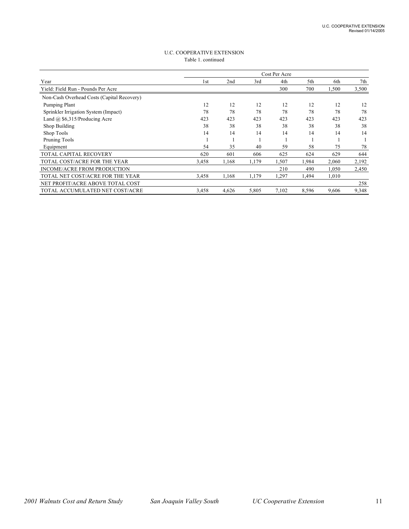| <b>U.C. COOPERATIVE EXTENSION</b> |
|-----------------------------------|
| Table 1. continued                |

|                                            |       |       |       | Cost Per Acre |       |       |       |
|--------------------------------------------|-------|-------|-------|---------------|-------|-------|-------|
| Year                                       | 1st   | 2nd   | 3rd   | 4th           | 5th   | 6th   | 7th   |
| Yield: Field Run - Pounds Per Acre         |       |       |       | 300           | 700   | 1,500 | 3,500 |
| Non-Cash Overhead Costs (Capital Recovery) |       |       |       |               |       |       |       |
| Pumping Plant                              | 12    | 12    | 12    | 12            | 12    | 12    | 12    |
| Sprinkler Irrigation System (Impact)       | 78    | 78    | 78    | 78            | 78    | 78    | 78    |
| Land $(a)$ \$6,315/Producing Acre          | 423   | 423   | 423   | 423           | 423   | 423   | 423   |
| Shop Building                              | 38    | 38    | 38    | 38            | 38    | 38    | 38    |
| Shop Tools                                 | 14    | 14    | 14    | 14            | 14    | 14    | 14    |
| Pruning Tools                              |       |       |       |               |       |       |       |
| Equipment                                  | 54    | 35    | 40    | 59            | 58    | 75    | 78    |
| <b>TOTAL CAPITAL RECOVERY</b>              | 620   | 601   | 606   | 625           | 624   | 629   | 644   |
| TOTAL COST/ACRE FOR THE YEAR               | 3,458 | 1,168 | 1,179 | 1,507         | 1,984 | 2,060 | 2,192 |
| <b>INCOME/ACRE FROM PRODUCTION</b>         |       |       |       | 210           | 490   | 1,050 | 2,450 |
| TOTAL NET COST/ACRE FOR THE YEAR           | 3,458 | 1,168 | 1,179 | 1,297         | 1,494 | 1,010 |       |
| NET PROFIT/ACRE ABOVE TOTAL COST           |       |       |       |               |       |       | 258   |
| TOTAL ACCUMULATED NET COST/ACRE            | 3,458 | 4,626 | 5,805 | 7,102         | 8,596 | 9,606 | 9,348 |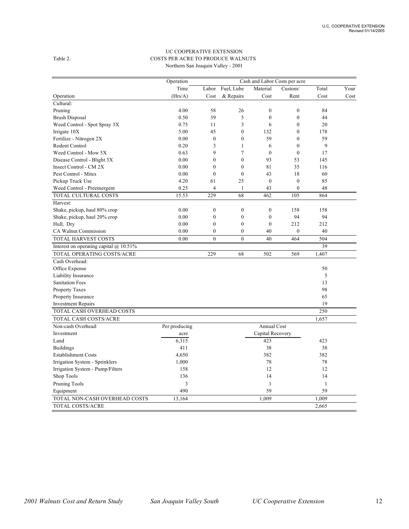#### UC COOPERATIVE EXTENSION Table 2. COSTS PER ACRE TO PRODUCE WALNUTS Northern San Joaquin Valley - 2001

|                                          | Operation     | Cash and Labor Costs per acre |                  |                  |                  |              |      |
|------------------------------------------|---------------|-------------------------------|------------------|------------------|------------------|--------------|------|
|                                          | Time          | Labor                         | Fuel, Lube       | Material         | Custom/          | Total        | Your |
| Operation                                | (Hrs/A)       | Cost                          | & Repairs        | Cost             | Rent             | Cost         | Cost |
| Cultural:                                |               |                               |                  |                  |                  |              |      |
| Pruning                                  | 4.00          | 58                            | 26               | $\mathbf{0}$     | $\mathbf{0}$     | 84           |      |
| <b>Brush Disposal</b>                    | 0.50          | 39                            | 5                | $\boldsymbol{0}$ | $\boldsymbol{0}$ | 44           |      |
| Weed Control - Spot Spray 3X             | 0.75          | 11                            | 3                | 6                | $\theta$         | 20           |      |
| Irrigate 10X                             | 5.00          | 45                            | $\mathbf{0}$     | 132              | $\mathbf{0}$     | 178          |      |
| Fertilize - Nitrogen 2X                  | 0.00          | $\boldsymbol{0}$              | $\theta$         | 59               | $\theta$         | 59           |      |
| Rodent Control                           | 0.20          | 3                             | 1                | 6                | $\theta$         | 9            |      |
| Weed Control - Mow 5X                    | 0.63          | 9                             | 7                | $\mathbf{0}$     | $\mathbf{0}$     | 17           |      |
| Disease Control - Blight 3X              | 0.00          | $\theta$                      | $\theta$         | 93               | 53               | 145          |      |
| Insect Control - CM 2X                   | 0.00          | $\mathbf{0}$                  | $\mathbf{0}$     | 81               | 35               | 116          |      |
| Pest Control - Mites                     | 0.00          | $\mathbf{0}$                  | $\mathbf{0}$     | 43               | 18               | 60           |      |
| Pickup Truck Use                         | 4.20          | 61                            | 25               | $\boldsymbol{0}$ | $\boldsymbol{0}$ | 85           |      |
| Weed Control - Preemergent               | 0.25          | $\overline{4}$                | 1                | 43               | $\mathbf{0}$     | 48           |      |
| TOTAL CULTURAL COSTS                     | 15.53         | 229                           | 68               | 462              | 105              | 864          |      |
| Harvest:                                 |               |                               |                  |                  |                  |              |      |
| Shake, pickup, haul 80% crop             | 0.00          | $\mathbf{0}$                  | $\boldsymbol{0}$ | $\mathbf{0}$     | 158              | 158          |      |
| Shake, pickup, haul 20% crop             | 0.00          | $\mathbf{0}$                  | $\mathbf{0}$     | $\mathbf{0}$     | 94               | 94           |      |
| Hull, Dry                                | 0.00          | $\boldsymbol{0}$              | $\boldsymbol{0}$ | $\boldsymbol{0}$ | 212              | 212          |      |
| CA Walnut Commission                     | 0.00          | $\mathbf{0}$                  | $\mathbf{0}$     | 40               | $\mathbf{0}$     | 40           |      |
| TOTAL HARVEST COSTS                      | 0.00          | $\theta$                      | $\theta$         | 40               | 464              | 504          |      |
| Interest on operating capital $@10.51\%$ |               |                               |                  |                  |                  | 39           |      |
| TOTAL OPERATING COSTS/ACRE               |               | 229                           | 68               | 502              | 569              | 1,407        |      |
| Cash Overhead:                           |               |                               |                  |                  |                  |              |      |
| Office Expense                           |               |                               |                  |                  |                  | 50           |      |
| Liability Insurance                      |               |                               |                  |                  |                  | 5            |      |
| <b>Sanitation Fees</b>                   |               |                               |                  |                  |                  | 13           |      |
| Property Taxes                           |               |                               |                  |                  |                  | 98           |      |
| Property Insurance                       |               |                               |                  |                  |                  | 65           |      |
| <b>Investment Repairs</b>                |               |                               |                  |                  |                  | 19           |      |
| TOTAL CASH OVERHEAD COSTS                |               |                               |                  |                  |                  | 250          |      |
| <b>TOTAL CASH COSTS/ACRE</b>             |               |                               |                  |                  |                  | 1,657        |      |
| Non-cash Overhead:                       | Per producing |                               |                  | Annual Cost      |                  |              |      |
| Investment                               | acre          |                               |                  | Capital Recovery |                  |              |      |
| Land                                     | 6,315         |                               |                  | 423              |                  | 423          |      |
| <b>Buildings</b>                         | 411           |                               |                  | 38               |                  | 38           |      |
| <b>Establishment Costs</b>               | 4,650         |                               |                  | 382              |                  | 382          |      |
| Irrigation System - Sprinklers           | 1,000         |                               |                  | 78               |                  | 78           |      |
| Irrigation System - Pump/Filters         | 158           |                               |                  | 12               |                  | 12           |      |
| Shop Tools                               | 136           |                               |                  | 14               |                  | 14           |      |
| Pruning Tools                            | 3             |                               |                  | $\mathbf{1}$     |                  | $\mathbf{1}$ |      |
| Equipment                                | 490           |                               |                  | 59               |                  | 59           |      |
| TOTAL NON-CASH OVERHEAD COSTS            | 13,164        |                               |                  | 1.009            |                  | 1.009        |      |
| <b>TOTAL COSTS/ACRE</b>                  |               |                               |                  |                  |                  | 2,665        |      |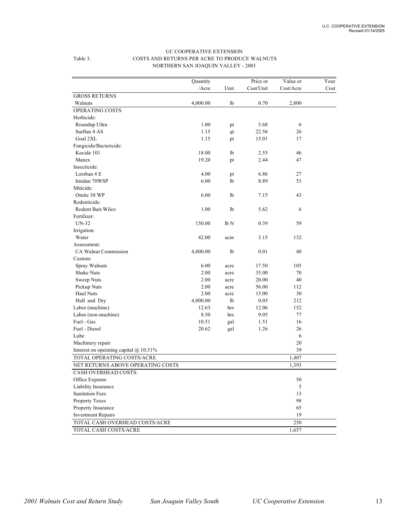|                                               | Quantity |                  | Price or  | Value or  | Your |
|-----------------------------------------------|----------|------------------|-----------|-----------|------|
|                                               | /Acre    | Unit             | Cost/Unit | Cost/Acre | Cost |
| <b>GROSS RETURNS</b>                          |          |                  |           |           |      |
| Walnuts                                       | 4,000.00 | lb               | 0.70      | 2,800     |      |
| OPERATING COSTS                               |          |                  |           |           |      |
| Herbicide:                                    |          |                  |           |           |      |
| Roundup Ultra                                 | 1.00     | pt               | 5.68      | 6         |      |
| Surflan 4 AS                                  | 1.15     | qt               | 22.56     | 26        |      |
| Goal 2XL                                      | 1.15     | pt               | 15.01     | 17        |      |
| Fungicide/Bactericide:                        |          |                  |           |           |      |
| Kocide 101                                    | 18.00    | lb               | 2.55      | 46        |      |
| Manex                                         | 19.20    | pt               | 2.44      | 47        |      |
| Insecticide:                                  |          |                  |           |           |      |
| Lorsban 4 E                                   | 4.00     | pt               | 6.86      | 27        |      |
| Imidan 70WSP                                  | 6.00     | lb               | 8.89      | 53        |      |
| Miticide:                                     |          |                  |           |           |      |
| Omite 30 WP                                   | 6.00     | lb               | 7.15      | 43        |      |
| Rodenticide:                                  |          |                  |           |           |      |
| Rodent Bait-Wilco                             | 1.00     | lb               | 5.62      | 6         |      |
| Fertilizer:                                   |          |                  |           |           |      |
| <b>UN-32</b>                                  | 150.00   | 1 <sub>b</sub> N | 0.39      | 59        |      |
| Irrigation:                                   |          |                  |           |           |      |
| Water                                         | 42.00    | acin             | 3.15      | 132       |      |
| Assessment:                                   |          |                  |           |           |      |
| <b>CA Walnut Commission</b>                   | 4,000.00 | 1 <sub>b</sub>   | 0.01      | 40        |      |
| Custom:                                       |          |                  |           |           |      |
| Spray Walnuts                                 | 6.00     | acre             | 17.50     | 105       |      |
| Shake Nuts                                    | 2.00     | acre             | 35.00     | 70        |      |
| Sweep Nuts                                    | 2.00     | acre             | 20.00     | 40        |      |
| Pickup Nuts                                   | 2.00     | acre             | 56.00     | 112       |      |
| Haul Nuts                                     | 2.00     | acre             | 15.00     | 30        |      |
| Hull and Dry                                  | 4,000.00 | lb               | 0.05      | 212       |      |
| Labor (machine)                               | 12.63    | hrs              | 12.06     | 152       |      |
| Labor (non-machine)                           | 8.50     | hrs              | 9.05      | 77        |      |
| Fuel - Gas                                    | 10.51    | gal              | 1.51      | 16        |      |
| Fuel - Diesel                                 | 20.62    | gal              | 1.26      | 26        |      |
| Lube                                          |          |                  |           | 6         |      |
| Machinery repair                              |          |                  |           | 20        |      |
| Interest on operating capital $\omega$ 10.51% |          |                  |           | 39        |      |
| TOTAL OPERATING COSTS/ACRE                    |          |                  |           | 1,407     |      |
| NET RETURNS ABOVE OPERATING COSTS             |          |                  |           | 1,393     |      |
| <b>CASH OVERHEAD COSTS:</b>                   |          |                  |           |           |      |
| Office Expense                                |          |                  |           | 50        |      |
| Liability Insurance                           |          |                  |           | 5         |      |
| <b>Sanitation Fees</b>                        |          |                  |           | 13        |      |
| Property Taxes                                |          |                  |           | 98        |      |
| Property Insurance                            |          |                  |           | 65        |      |
| <b>Investment Repairs</b>                     |          |                  |           | 19        |      |
| TOTAL CASH OVERHEAD COSTS/ACRE                |          |                  |           | 250       |      |
| TOTAL CASH COSTS/ACRE                         |          |                  |           | 1,657     |      |

#### UC COOPERATIVE EXTENSION Table 3. COSTS AND RETURNS PER ACRE TO PRODUCE WALNUTS NORTHERN SAN JOAQUIN VALLEY - 2001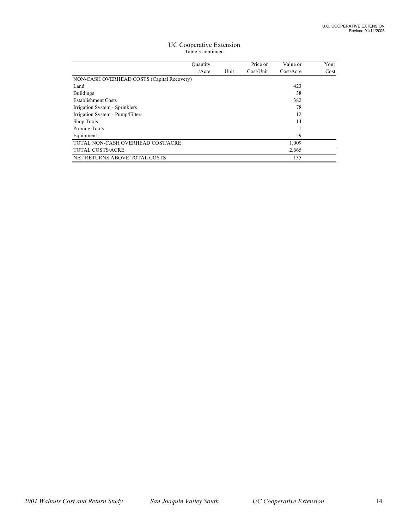#### UC Cooperative Extension Table 3 continued

|                                            | <b>Quantity</b> |      | Price or  | Value or  | Your |
|--------------------------------------------|-----------------|------|-----------|-----------|------|
|                                            | $/$ Acre        | Unit | Cost/Unit | Cost/Accr | Cost |
| NON-CASH OVERHEAD COSTS (Capital Recovery) |                 |      |           |           |      |
| Land                                       |                 |      |           | 423       |      |
| <b>Buildings</b>                           |                 |      |           | 38        |      |
| <b>Establishment Costs</b>                 |                 |      |           | 382       |      |
| Irrigation System - Sprinklers             |                 |      |           | 78        |      |
| Irrigation System - Pump/Filters           |                 |      |           | 12        |      |
| Shop Tools                                 |                 |      |           | 14        |      |
| Pruning Tools                              |                 |      |           |           |      |
| Equipment                                  |                 |      |           | 59        |      |
| TOTAL NON-CASH OVERHEAD COST/ACRE          |                 |      |           | 1,009     |      |
| <b>TOTAL COSTS/ACRE</b>                    |                 |      |           | 2,665     |      |
| NET RETURNS ABOVE TOTAL COSTS              |                 |      |           | 135       |      |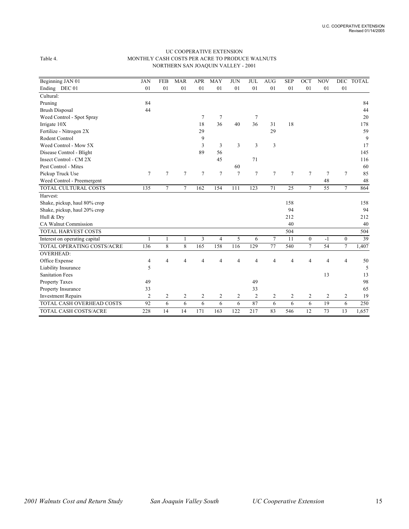#### UC COOPERATIVE EXTENSION Table 4. MONTHLY CASH COSTS PER ACRE TO PRODUCE WALNUTS NORTHERN SAN JOAQUIN VALLEY - 2001

| Beginning JAN 01              | <b>JAN</b>     | <b>FEB</b> | <b>MAR</b>      | <b>APR</b>      | <b>MAY</b>     | <b>JUN</b>     | <b>JUL</b>     | <b>AUG</b>     | <b>SEP</b>     | OCT            | <b>NOV</b>     |                | DEC TOTAL |
|-------------------------------|----------------|------------|-----------------|-----------------|----------------|----------------|----------------|----------------|----------------|----------------|----------------|----------------|-----------|
| Ending DEC 01                 | 01             | 01         | 01              | 01              | 01             | 01             | 01             | 01             | 01             | 01             | 01             | 01             |           |
| Cultural:                     |                |            |                 |                 |                |                |                |                |                |                |                |                |           |
| Pruning                       | 84             |            |                 |                 |                |                |                |                |                |                |                |                | 84        |
| <b>Brush Disposal</b>         | 44             |            |                 |                 |                |                |                |                |                |                |                |                | 44        |
| Weed Control - Spot Spray     |                |            |                 | 7               | 7              |                | 7              |                |                |                |                |                | 20        |
| Irrigate 10X                  |                |            |                 | 18              | 36             | 40             | 36             | 31             | 18             |                |                |                | 178       |
| Fertilize - Nitrogen 2X       |                |            |                 | 29              |                |                |                | 29             |                |                |                |                | 59        |
| Rodent Control                |                |            |                 | 9               |                |                |                |                |                |                |                |                | 9         |
| Weed Control - Mow 5X         |                |            |                 | 3               | 3              | 3              | 3              | $\mathfrak{Z}$ |                |                |                |                | 17        |
| Disease Control - Blight      |                |            |                 | 89              | 56             |                |                |                |                |                |                |                | 145       |
| Insect Control - CM 2X        |                |            |                 |                 | 45             |                | 71             |                |                |                |                |                | 116       |
| Pest Control - Mites          |                |            |                 |                 |                | 60             |                |                |                |                |                |                | 60        |
| Pickup Truck Use              | 7              | 7          | $7\phantom{.0}$ | $7\phantom{.0}$ | $\tau$         | $\overline{7}$ | $\tau$         | 7              | $\overline{7}$ | $\overline{7}$ | 7              | $\tau$         | 85        |
| Weed Control - Preemergent    |                |            |                 |                 |                |                |                |                |                |                | 48             |                | 48        |
| TOTAL CULTURAL COSTS          | 135            | 7          | 7               | 162             | 154            | 111            | 123            | 71             | 25             | $\tau$         | 55             | $\tau$         | 864       |
| Harvest:                      |                |            |                 |                 |                |                |                |                |                |                |                |                |           |
| Shake, pickup, haul 80% crop  |                |            |                 |                 |                |                |                |                | 158            |                |                |                | 158       |
| Shake, pickup, haul 20% crop  |                |            |                 |                 |                |                |                |                | 94             |                |                |                | 94        |
| Hull & Dry                    |                |            |                 |                 |                |                |                |                | 212            |                |                |                | 212       |
| CA Walnut Commission          |                |            |                 |                 |                |                |                |                | 40             |                |                |                | 40        |
| TOTAL HARVEST COSTS           |                |            |                 |                 |                |                |                |                | 504            |                |                |                | 504       |
| Interest on operating capital |                | 1          |                 | 3               | $\overline{4}$ | 5              | 6              | $\overline{7}$ | 11             | $\mathbf{0}$   | $-1$           | $\mathbf{0}$   | 39        |
| TOTAL OPERATING COSTS/ACRE    | 136            | 8          | 8               | 165             | 158            | 116            | 129            | 77             | 540            | $\tau$         | 54             | $\tau$         | 1,407     |
| <b>OVERHEAD:</b>              |                |            |                 |                 |                |                |                |                |                |                |                |                |           |
| Office Expense                | 4              | 4          | 4               | 4               | $\overline{4}$ | $\overline{4}$ | $\overline{4}$ | 4              | 4              | $\overline{4}$ | $\overline{4}$ | 4              | 50        |
| Liability Insurance           | 5              |            |                 |                 |                |                |                |                |                |                |                |                | 5         |
| <b>Sanitation Fees</b>        |                |            |                 |                 |                |                |                |                |                |                | 13             |                | 13        |
| Property Taxes                | 49             |            |                 |                 |                |                | 49             |                |                |                |                |                | 98        |
| Property Insurance            | 33             |            |                 |                 |                |                | 33             |                |                |                |                |                | 65        |
| <b>Investment Repairs</b>     | $\overline{2}$ | 2          | $\overline{c}$  | $\overline{c}$  | $\overline{c}$ | 2              | $\overline{2}$ | 2              | $\overline{c}$ | $\overline{c}$ | $\overline{2}$ | $\overline{c}$ | 19        |
| TOTAL CASH OVERHEAD COSTS     | 92             | 6          | 6               | 6               | 6              | 6              | 87             | 6              | 6              | 6              | 19             | 6              | 250       |
| <b>TOTAL CASH COSTS/ACRE</b>  | 228            | 14         | 14              | 171             | 163            | 122            | 217            | 83             | 546            | 12             | 73             | 13             | 1,657     |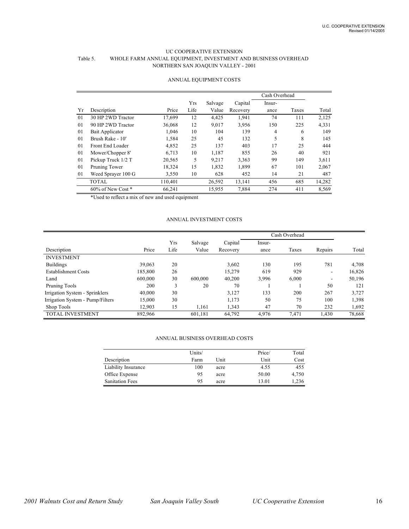#### UC COOPERATIVE EXTENSION Table 5. WHOLE FARM ANNUAL EQUIPMENT, INVESTMENT AND BUSINESS OVERHEAD NORTHERN SAN JOAQUIN VALLEY - 2001

|    |                        |         |      |         |          | Cash Overhead |       |        |
|----|------------------------|---------|------|---------|----------|---------------|-------|--------|
|    |                        |         | Yrs  | Salvage | Capital  | Insur-        |       |        |
| Yr | Description            | Price   | Life | Value   | Recovery | ance          | Taxes | Total  |
| 01 | 30 HP 2WD Tractor      | 17.699  | 12   | 4,425   | 1,941    | 74            | 111   | 2,125  |
| 01 | 90 HP 2WD Tractor      | 36,068  | 12   | 9,017   | 3,956    | 150           | 225   | 4,331  |
| 01 | Bait Applicator        | 1,046   | 10   | 104     | 139      | 4             | 6     | 149    |
| 01 | Brush Rake - 10'       | 1,584   | 25   | 45      | 132      | 5             | 8     | 145    |
| 01 | Front End Loader       | 4,852   | 25   | 137     | 403      | 17            | 25    | 444    |
| 01 | Mower/Chopper 8'       | 6.713   | 10   | 1,187   | 855      | 26            | 40    | 921    |
| 01 | Pickup Truck 1/2 T     | 20,565  | 5    | 9,217   | 3,363    | 99            | 149   | 3,611  |
| 01 | Pruning Tower          | 18,324  | 15   | 1,832   | 1,899    | 67            | 101   | 2,067  |
| 01 | Weed Sprayer 100 G     | 3,550   | 10   | 628     | 452      | 14            | 21    | 487    |
|    | <b>TOTAL</b>           | 110,401 |      | 26,592  | 13,141   | 456           | 685   | 14,282 |
|    | $60\%$ of New Cost $*$ | 66,241  |      | 15,955  | 7,884    | 274           | 411   | 8,569  |

#### ANNUAL EQUIPMENT COSTS

\*Used to reflect a mix of new and used equipment

#### ANNUAL INVESTMENT COSTS

|                                  |         |      |         |          | Cash Overhead |       |         |        |
|----------------------------------|---------|------|---------|----------|---------------|-------|---------|--------|
|                                  |         | Yrs  | Salvage | Capital  | Insur-        |       |         |        |
| Description                      | Price   | Life | Value   | Recovery | ance          | Taxes | Repairs | Total  |
| <b>INVESTMENT</b>                |         |      |         |          |               |       |         |        |
| <b>Buildings</b>                 | 39,063  | 20   |         | 3,602    | 130           | 195   | 781     | 4,708  |
| <b>Establishment Costs</b>       | 185,800 | 26   |         | 15,279   | 619           | 929   | ۰       | 16,826 |
| Land                             | 600,000 | 30   | 600,000 | 40,200   | 3,996         | 6,000 | ۰       | 50,196 |
| Pruning Tools                    | 200     | 3    | 20      | 70       |               |       | 50      | 121    |
| Irrigation System - Sprinklers   | 40,000  | 30   |         | 3,127    | 133           | 200   | 267     | 3,727  |
| Irrigation System - Pump/Filters | 15,000  | 30   |         | 1,173    | 50            | 75    | 100     | 1,398  |
| Shop Tools                       | 12.903  | 15   | 1.161   | 1,343    | 47            | 70    | 232     | 1,692  |
| <b>TOTAL INVESTMENT</b>          | 892,966 |      | 601,181 | 64,792   | 4,976         | 7,471 | 1,430   | 78,668 |

#### ANNUAL BUSINESS OVERHEAD COSTS

|                        | Units/ |      | Price/ | Total |
|------------------------|--------|------|--------|-------|
| Description            | Farm   | Unit | Unit   | Cost  |
| Liability Insurance    | 100    | acre | 4.55   | 455   |
| Office Expense         | 95     | acre | 50.00  | 4,750 |
| <b>Sanitation Fees</b> | 95     | acre | 13.01  | 1,236 |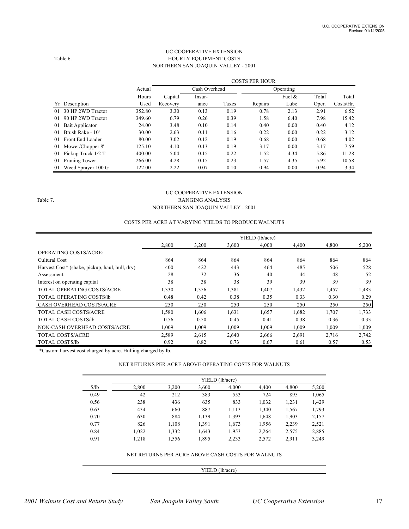#### UC COOPERATIVE EXTENSION Table 6. HOURLY EQUIPMENT COSTS NORTHERN SAN JOAQUIN VALLEY - 2001

|    |                    |        | <b>COSTS PER HOUR</b> |               |       |         |           |       |              |  |  |
|----|--------------------|--------|-----------------------|---------------|-------|---------|-----------|-------|--------------|--|--|
|    |                    | Actual |                       | Cash Overhead |       |         | Operating |       |              |  |  |
|    |                    | Hours  | Capital               | Insur-        |       |         | Fuel $\&$ | Total | Total        |  |  |
| Yr | Description        | Used   | Recovery              | ance          | Taxes | Repairs | Lube      | Oper. | $Costs/Hr$ . |  |  |
| 01 | 30 HP 2WD Tractor  | 352.80 | 3.30                  | 0.13          | 0.19  | 0.78    | 2.13      | 2.91  | 6.52         |  |  |
| 01 | 90 HP 2WD Tractor  | 349.60 | 6.79                  | 0.26          | 0.39  | 1.58    | 6.40      | 7.98  | 15.42        |  |  |
| 01 | Bait Applicator    | 24.00  | 3.48                  | 0.10          | 0.14  | 0.40    | 0.00      | 0.40  | 4.12         |  |  |
| 01 | Brush Rake - 10'   | 30.00  | 2.63                  | 0.11          | 0.16  | 0.22    | 0.00      | 0.22  | 3.12         |  |  |
| 01 | Front End Loader   | 80.00  | 3.02                  | 0.12          | 0.19  | 0.68    | 0.00      | 0.68  | 4.02         |  |  |
| 01 | Mower/Chopper 8'   | 125.10 | 4.10                  | 0.13          | 0.19  | 3.17    | 0.00      | 3.17  | 7.59         |  |  |
| 01 | Pickup Truck 1/2 T | 400.00 | 5.04                  | 0.15          | 0.22  | 1.52    | 4.34      | 5.86  | 11.28        |  |  |
| 01 | Pruning Tower      | 266.00 | 4.28                  | 0.15          | 0.23  | 1.57    | 4.35      | 5.92  | 10.58        |  |  |
| 01 | Weed Sprayer 100 G | 122.00 | 2.22                  | 0.07          | 0.10  | 0.94    | 0.00      | 0.94  | 3.34         |  |  |

#### UC COOPERATIVE EXTENSION Table 7. RANGING ANALYSIS NORTHERN SAN JOAQUIN VALLEY - 2001

#### COSTS PER ACRE AT VARYING YIELDS TO PRODUCE WALNUTS

|                                                |       |       |       | YIELD (lb/acre) |       |       |       |
|------------------------------------------------|-------|-------|-------|-----------------|-------|-------|-------|
|                                                | 2,800 | 3,200 | 3,600 | 4,000           | 4,400 | 4,800 | 5,200 |
| <b>OPERATING COSTS/ACRE:</b>                   |       |       |       |                 |       |       |       |
| Cultural Cost                                  | 864   | 864   | 864   | 864             | 864   | 864   | 864   |
| Harvest Cost* (shake, pickup, haul, hull, dry) | 400   | 422   | 443   | 464             | 485   | 506   | 528   |
| Assessment                                     | 28    | 32    | 36    | 40              | 44    | 48    | 52    |
| Interest on operating capital                  | 38    | 38    | 38    | 39              | 39    | 39    | 39    |
| TOTAL OPERATING COSTS/ACRE                     | 1,330 | 1,356 | 1,381 | 1,407           | 1,432 | 1,457 | 1,483 |
| TOTAL OPERATING COSTS/lb                       | 0.48  | 0.42  | 0.38  | 0.35            | 0.33  | 0.30  | 0.29  |
| <b>CASH OVERHEAD COSTS/ACRE</b>                | 250   | 250   | 250   | 250             | 250   | 250   | 250   |
| TOTAL CASH COSTS/ACRE                          | 1,580 | 1,606 | 1,631 | 1,657           | 1,682 | 1,707 | 1,733 |
| <b>TOTAL CASH COSTS/lb</b>                     | 0.56  | 0.50  | 0.45  | 0.41            | 0.38  | 0.36  | 0.33  |
| NON-CASH OVERHEAD COSTS/ACRE                   | 1.009 | 1.009 | 1.009 | 1.009           | 1.009 | 1.009 | 1,009 |
| <b>TOTAL COSTS/ACRE</b>                        | 2,589 | 2,615 | 2,640 | 2,666           | 2,691 | 2,716 | 2,742 |
| <b>TOTAL COSTS/lb</b>                          | 0.92  | 0.82  | 0.73  | 0.67            | 0.61  | 0.57  | 0.53  |

\*Custom harvest cost charged by acre. Hulling charged by lb.

#### NET RETURNS PER ACRE ABOVE OPERATING COSTS FOR WALNUTS

|       | YIELD (lb/acre) |       |       |       |       |       |       |  |  |  |
|-------|-----------------|-------|-------|-------|-------|-------|-------|--|--|--|
| \$/lb | 2,800           | 3,200 | 3,600 | 4,000 | 4,400 | 4,800 | 5,200 |  |  |  |
| 0.49  | 42              | 212   | 383   | 553   | 724   | 895   | 1,065 |  |  |  |
| 0.56  | 238             | 436   | 635   | 833   | 1,032 | 1,231 | 1,429 |  |  |  |
| 0.63  | 434             | 660   | 887   | 1,113 | 1,340 | 1,567 | 1,793 |  |  |  |
| 0.70  | 630             | 884   | 1,139 | 1,393 | 1,648 | 1,903 | 2,157 |  |  |  |
| 0.77  | 826             | 1,108 | 1,391 | 1,673 | 1,956 | 2,239 | 2,521 |  |  |  |
| 0.84  | 1,022           | 1,332 | 1,643 | 1,953 | 2,264 | 2,575 | 2,885 |  |  |  |
| 0.91  | 1.218           | 1,556 | 1,895 | 2,233 | 2,572 | 2,911 | 3,249 |  |  |  |

#### NET RETURNS PER ACRE ABOVE CASH COSTS FOR WALNUTS

#### YIELD (lb/acre)